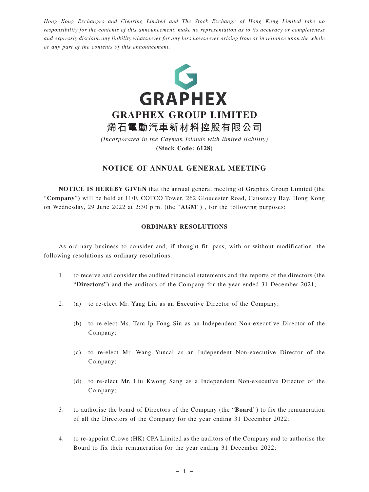*Hong Kong Exchanges and Clearing Limited and The Stock Exchange of Hong Kong Limited take no responsibility for the contents of this announcement, make no representation as to its accuracy or completeness and expressly disclaim any liability whatsoever for any loss howsoever arising from or in reliance upon the whole or any part of the contents of this announcement.*



# **NOTICE OF ANNUAL GENERAL MEETING**

**NOTICE IS HEREBY GIVEN** that the annual general meeting of Graphex Group Limited (the "**Company**") will be held at 11/F, COFCO Tower, 262 Gloucester Road, Causeway Bay, Hong Kong on Wednesday, 29 June 2022 at 2:30 p.m. (the "**AGM**") , for the following purposes:

### **ORDINARY RESOLUTIONS**

As ordinary business to consider and, if thought fit, pass, with or without modification, the following resolutions as ordinary resolutions:

- 1. to receive and consider the audited financial statements and the reports of the directors (the "**Directors**") and the auditors of the Company for the year ended 31 December 2021;
- 2. (a) to re-elect Mr. Yang Liu as an Executive Director of the Company;
	- (b) to re-elect Ms. Tam Ip Fong Sin as an Independent Non-executive Director of the Company;
	- (c) to re-elect Mr. Wang Yuncai as an Independent Non-executive Director of the Company;
	- (d) to re-elect Mr. Liu Kwong Sang as a Independent Non-executive Director of the Company;
- 3. to authorise the board of Directors of the Company (the "**Board**") to fix the remuneration of all the Directors of the Company for the year ending 31 December 2022;
- 4. to re-appoint Crowe (HK) CPA Limited as the auditors of the Company and to authorise the Board to fix their remuneration for the year ending 31 December 2022;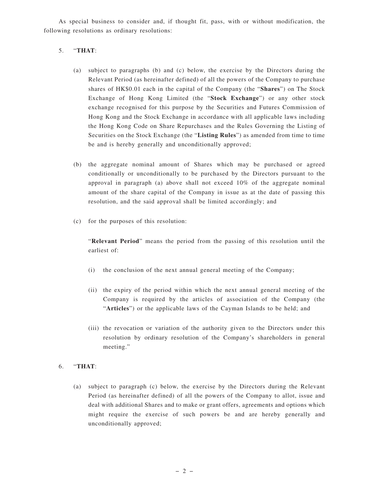As special business to consider and, if thought fit, pass, with or without modification, the following resolutions as ordinary resolutions:

## 5. "**THAT**:

- (a) subject to paragraphs (b) and (c) below, the exercise by the Directors during the Relevant Period (as hereinafter defined) of all the powers of the Company to purchase shares of HK\$0.01 each in the capital of the Company (the "**Shares**") on The Stock Exchange of Hong Kong Limited (the "**Stock Exchange**") or any other stock exchange recognised for this purpose by the Securities and Futures Commission of Hong Kong and the Stock Exchange in accordance with all applicable laws including the Hong Kong Code on Share Repurchases and the Rules Governing the Listing of Securities on the Stock Exchange (the "**Listing Rules**") as amended from time to time be and is hereby generally and unconditionally approved;
- (b) the aggregate nominal amount of Shares which may be purchased or agreed conditionally or unconditionally to be purchased by the Directors pursuant to the approval in paragraph (a) above shall not exceed 10% of the aggregate nominal amount of the share capital of the Company in issue as at the date of passing this resolution, and the said approval shall be limited accordingly; and
- (c) for the purposes of this resolution:

"**Relevant Period**" means the period from the passing of this resolution until the earliest of:

- (i) the conclusion of the next annual general meeting of the Company;
- (ii) the expiry of the period within which the next annual general meeting of the Company is required by the articles of association of the Company (the "**Articles**") or the applicable laws of the Cayman Islands to be held; and
- (iii) the revocation or variation of the authority given to the Directors under this resolution by ordinary resolution of the Company's shareholders in general meeting."

### 6. "**THAT**:

(a) subject to paragraph (c) below, the exercise by the Directors during the Relevant Period (as hereinafter defined) of all the powers of the Company to allot, issue and deal with additional Shares and to make or grant offers, agreements and options which might require the exercise of such powers be and are hereby generally and unconditionally approved;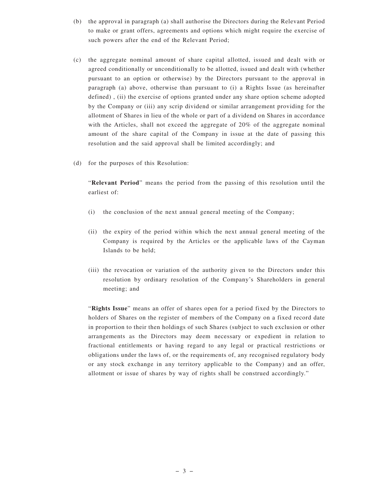- (b) the approval in paragraph (a) shall authorise the Directors during the Relevant Period to make or grant offers, agreements and options which might require the exercise of such powers after the end of the Relevant Period;
- (c) the aggregate nominal amount of share capital allotted, issued and dealt with or agreed conditionally or unconditionally to be allotted, issued and dealt with (whether pursuant to an option or otherwise) by the Directors pursuant to the approval in paragraph (a) above, otherwise than pursuant to (i) a Rights Issue (as hereinafter defined) , (ii) the exercise of options granted under any share option scheme adopted by the Company or (iii) any scrip dividend or similar arrangement providing for the allotment of Shares in lieu of the whole or part of a dividend on Shares in accordance with the Articles, shall not exceed the aggregate of 20% of the aggregate nominal amount of the share capital of the Company in issue at the date of passing this resolution and the said approval shall be limited accordingly; and
- (d) for the purposes of this Resolution:

"**Relevant Period**" means the period from the passing of this resolution until the earliest of:

- (i) the conclusion of the next annual general meeting of the Company;
- (ii) the expiry of the period within which the next annual general meeting of the Company is required by the Articles or the applicable laws of the Cayman Islands to be held;
- (iii) the revocation or variation of the authority given to the Directors under this resolution by ordinary resolution of the Company's Shareholders in general meeting; and

"**Rights Issue**" means an offer of shares open for a period fixed by the Directors to holders of Shares on the register of members of the Company on a fixed record date in proportion to their then holdings of such Shares (subject to such exclusion or other arrangements as the Directors may deem necessary or expedient in relation to fractional entitlements or having regard to any legal or practical restrictions or obligations under the laws of, or the requirements of, any recognised regulatory body or any stock exchange in any territory applicable to the Company) and an offer, allotment or issue of shares by way of rights shall be construed accordingly."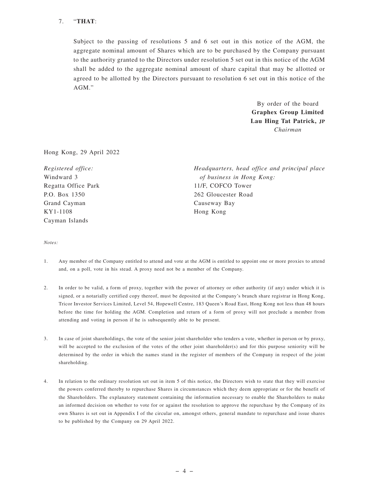## 7. "**THAT**:

Subject to the passing of resolutions 5 and 6 set out in this notice of the AGM, the aggregate nominal amount of Shares which are to be purchased by the Company pursuant to the authority granted to the Directors under resolution 5 set out in this notice of the AGM shall be added to the aggregate nominal amount of share capital that may be allotted or agreed to be allotted by the Directors pursuant to resolution 6 set out in this notice of the AGM."

> By order of the board **Graphex Group Limited Lau Hing Tat Patrick, JP** *Chairman*

Hong Kong, 29 April 2022

| Registered office:  | Headquarters, head office and principal place |
|---------------------|-----------------------------------------------|
| Windward 3          | of business in Hong Kong:                     |
| Regatta Office Park | 11/F, COFCO Tower                             |
| P.O. Box 1350       | 262 Gloucester Road                           |
| Grand Cayman        | Causeway Bay                                  |
| KY1-1108            | Hong Kong                                     |
| Cayman Islands      |                                               |

*Notes:*

- 1. Any member of the Company entitled to attend and vote at the AGM is entitled to appoint one or more proxies to attend and, on a poll, vote in his stead. A proxy need not be a member of the Company.
- 2. In order to be valid, a form of proxy, together with the power of attorney or other authority (if any) under which it is signed, or a notarially certified copy thereof, must be deposited at the Company's branch share registrar in Hong Kong, Tricor Investor Services Limited, Level 54, Hopewell Centre, 183 Queen's Road East, Hong Kong not less than 48 hours before the time for holding the AGM. Completion and return of a form of proxy will not preclude a member from attending and voting in person if he is subsequently able to be present.
- 3. In case of joint shareholdings, the vote of the senior joint shareholder who tenders a vote, whether in person or by proxy, will be accepted to the exclusion of the votes of the other joint shareholder(s) and for this purpose seniority will be determined by the order in which the names stand in the register of members of the Company in respect of the joint shareholding.
- 4. In relation to the ordinary resolution set out in item 5 of this notice, the Directors wish to state that they will exercise the powers conferred thereby to repurchase Shares in circumstances which they deem appropriate or for the benefit of the Shareholders. The explanatory statement containing the information necessary to enable the Shareholders to make an informed decision on whether to vote for or against the resolution to approve the repurchase by the Company of its own Shares is set out in Appendix I of the circular on, amongst others, general mandate to repurchase and issue shares to be published by the Company on 29 April 2022.